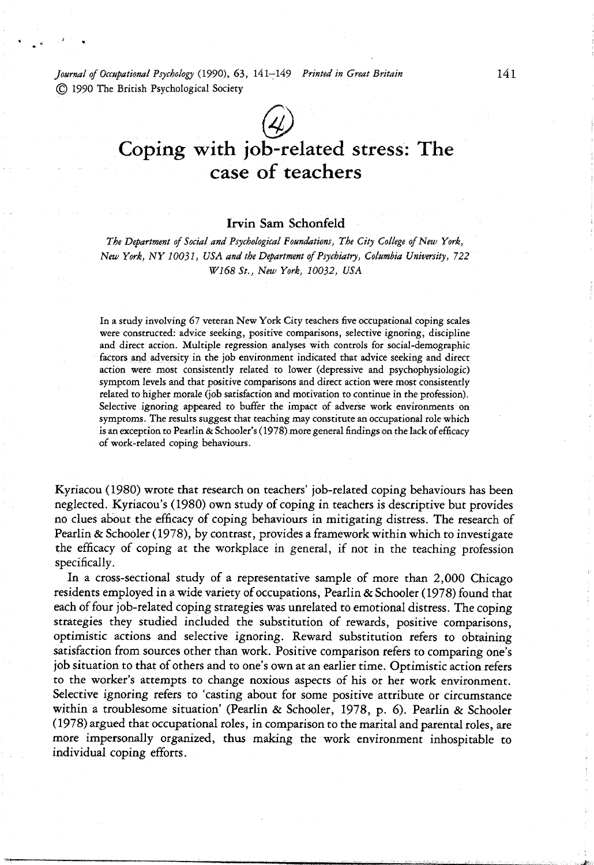*Journal of Occupational Psychology {19S>O), 6i,* 141-149 *Printed in Great Britain* 14 1 © 1990 The British Psychological Society

# Coping with job-related stress: The case of teachers

# **Irvin Sam Schonfeld**

*The Department of Social and Psychological foundations, The City College of New York, New York, NY 10051, USA and the Department of Psychiatry, Columbia University, 722 Wl68St., New York, 10032, USA*

In a study involving 67 veteran New York City teachers five occupational coping scales were constructed: advice seeking, positive comparisons, selective ignoring, discipline and direct action. Multiple regression analyses with controls for social-demographic factors and adversity in the job environment indicated that advice seeking and direct action were most consistently related to lower (depressive and psychophysiologic) symptom levels and that positive comparisons and direct action were most consistently related to higher morale (job satisfaction and motivation to continue in the profession). Selective ignoring appeared to buffer the impact of adverse work environments on symptoms. The results suggest that teaching may constitute an occupational role which is an exception to Pearlin & Schooler's (1978) more general findings on the lack of efficacy of work-related coping behaviours.

Kyriacou (1980) wrote that research on teachers' job-related coping behaviours has been neglected. Kyriacou's (1980) own study of coping in teachers is descriptive but provides no clues about the efficacy of coping behaviours in mitigating distress. The research of Pearlin & Schooler (1978), by contrast, provides a framework within which to investigate the efficacy of coping at the workplace in general, if not in the teaching profession specifically.

In a cross-sectional study of a representative sample of more than 2,000 Chicago residents employed in a wide variety of occupations, Pearlin & Schooler (1978) found that each of four job-related coping strategies was unrelated to emotional distress. The coping strategies they studied included the substitution of rewards, positive comparisons, optimistic actions and selective ignoring. Reward substitution refers to obtaining satisfaction from sources other than work. Positive comparison refers to comparing one's job situation to that of others and to one's own at an earlier time. Optimistic action refers to the worker's attempts to change noxious aspects of his or her work environment. Selective ignoring refers to 'casting about for some positive attribute or circumstance within a troublesome situation' (Pearlin & Schooler, 1978, p. 6). Pearlin & Schooler (1978) argued that occupational roles, in comparison to the marital and parental roles, are more impersonally organized, thus making the work environment inhospitable to individual coping efforts.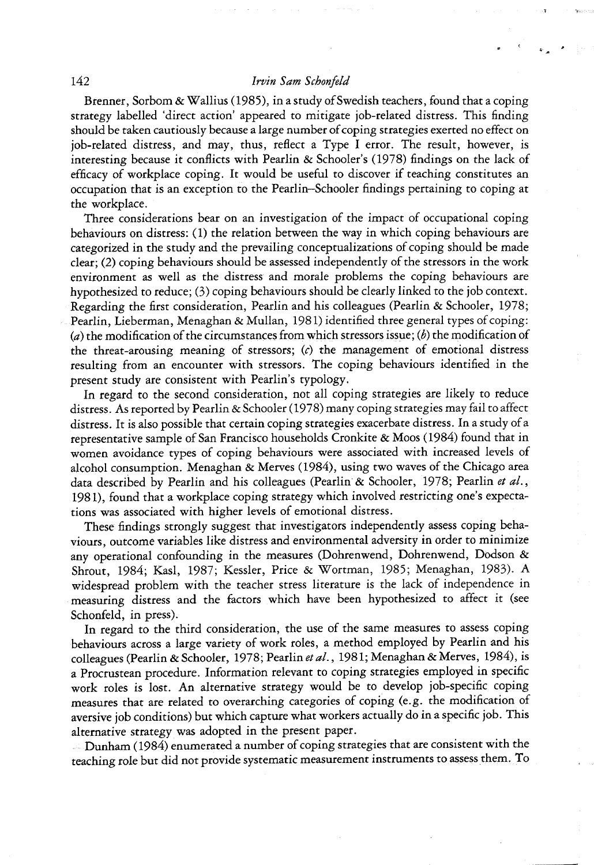Brenner, Sorbom & Wallius (1985), in a study of Swedish teachers, found that a coping strategy labelled 'direct action' appeared to mitigate job-related distress. This finding should be taken cautiously because a large number of coping strategies exerted no effect on job-related distress, and may, thus, reflect a Type I error. The result, however, is interesting because it conflicts with Pearlin & Schooler's (1978) findings on the lack of efficacy of workplace coping. It would be useful to discover if teaching constitutes an occupation that is an exception to the Pearlin—Schooler findings pertaining to coping at the workplace.

Three considerations bear on an investigation of the impact of occupational coping behaviours on distress: (1) the relation between the way in which coping behaviours are categorized in the study and the prevailing conceptualizations of coping should be made  $clear$ ; (2) coping behaviours should be assessed independently of the stressors in the work environment as well as the distress and morale problems the coping behaviours are hypothesized to reduce; (3) coping behaviours should be clearly linked to the job context. Regarding the first consideration, Pearlin and his colleagues (Pearlin & Schooler, 1978; Pearlin, Lieberman, Menaghan & Mullan, 1981) identified three general types of coping: (a) the modification of the circumstances from which stressors issue; (b) the modification of the threat-arousing meaning of stressors; *{c)* the management of emotional distress resulting from an encounter with stressors. The coping behaviours identified in the present study are consistent with Pearlin's typology.

In regard to the second consideration, not all coping strategies are likely to reduce distress. As reported by Pearlin & Schooler (1978) many coping strategies may fail to affect distress. It is also possible that certain coping strategies exacerbate distress. In a study of a representative sample of San Francisco households Cronkite & Moos (1984) found that in women avoidance types of coping behaviours were associated with increased levels of alcohol consumption. Menaghan  $\&$  Merves (1984), using two waves of the Chicago area data described by Pearlin and his colleagues (Pearlin & Schooler, 1978; Pearlin *et al.,* 1981), found that a workplace coping strategy which involved restricting one's expectations was associated with higher levels of emotional distress.

These findings strongly suggest that investigators independently assess coping behaviours, outcome variables like distress and environmental adversity in order to minimize any operational confounding in the measures (Dohrenwend, Dohrenwend, Dodson & Shrout, 1984; Kasl, 1987; Kessler, Price & Wortman, 1985; Menaghan, 1983). A widespread problem with the teacher stress literature is the lack of independence in measuring distress and the factors which have been hypothesized to affect it (see Schonfeld, in press).

In regard to the third consideration, the use of the same measures to assess coping behaviours across a large variety of work roles, a method employed by Pearlin and his colleagues (Pearlin & Schooler, 1978; Pearlin et al., 1981; Menaghan & Merves, 1984), is a Procrustean procedure. Information relevant to coping strategies employed in specific work roles is lost. An alternative strategy would be to develop job-specific coping measures that are related to overarching categories of coping (e.g. the modification of aversive job conditions) but which capture what workers actually do in a specific job. This alternative strategy was adopted in the present paper.

Dunham (1984) enumerated a number of coping strategies that are consistent with the teaching role but did not provide systematic measurement instruments to assess them. To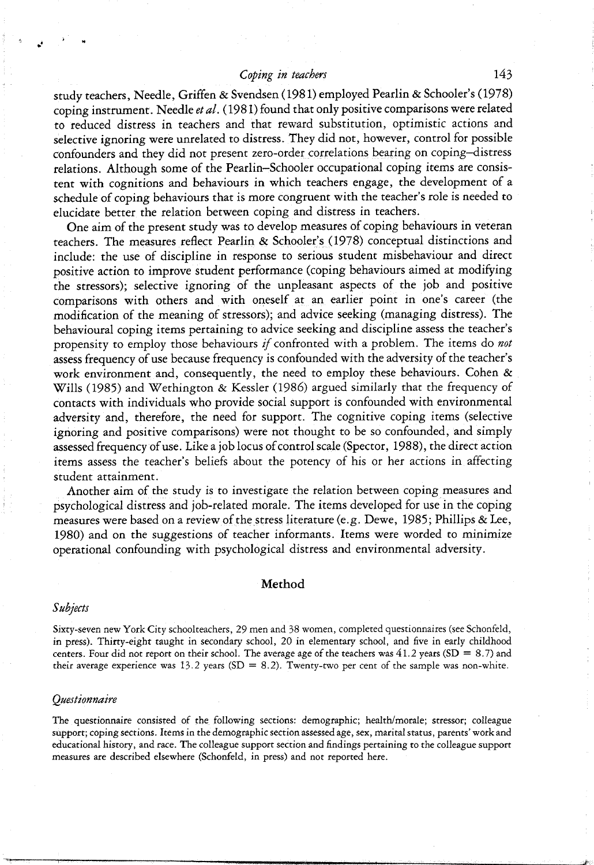# *Coping in teachers* 143

study teachers. Needle, Griffen & Svendsen (1981) employed Pearlin & Schooler's (1978) coping instrument. Needle *etal.* (1981) found that only positive comparisons were related to reduced distress in teachers and that reward substitution, optimistic actions and selective ignoring were unrelated to distress. They did not, however, control for possible confounders and they did not present zero-order correlations bearing on coping-distress relations. Although some of the Pearlin-Schooler occupational coping items are consistent with cognitions and behaviours in which teachers engage, the development of a schedule of coping behaviours that is more congruent with the teacher's role is needed to elucidate better the relation between coping and distress in teachers.

One aim of the present study was to develop measures of coping behaviours in veteran teachers. The measures reflect Pearlin & Schooler's (1978) conceptual distinctions and include: the use of discipline in response to serious student misbehaviour and direct positive action to improve student performance (coping behaviours aimed at modifying the stressors); selective ignoring of the unpleasant aspects of the job and positive comparisons with others and with oneself at an earlier point in one's career (the modification of the meaning of stressors); and advice seeking (managing distress). The behavioural coping items pertaining to advice seeking and discipline assess the teacher's propensity to employ those behaviours if confronted with a problem. The items do not assess frequency of use because frequency is confounded with the adversity of the teacher's work environment and, consequently, the need to employ these behaviours. Cohen & Wills (1985) and Wethington & Kessler (1986) argued similarly that the frequency of contacts with individuals who provide social support is confounded with environmental adversity and, therefore, the need for support. The cognitive coping items (selective ignoring and positive comparisons) were not thought to be so confounded, and simply assessed frequency of use. Like a job locus of control scale (Spector, 1988), the direct action items assess the teacher's beliefs about the potency of his or her actions in affecting student attainment.

Another aim of the study is to investigate the relation between coping measures and psychological distress and job-related morale. The items developed for use in the coping measures were based on a review of the stress literature (e.g. Dewe, 1985; Phillips & Lee, 1980) and on the suggestions of teacher informants. Items were worded to minimize operational confounding with psychological distress and environmental adversity.

#### Method

#### *Subjects*

Sixty-seven new York City schoolteachers, 29 men and 38 women, completed questionnaires (see Schonfeld, in press). Thirty-eight taught in secondary school, 20 in elementary school, and five in early childhood centers. Four did not report on their school. The average age of the teachers was  $41.2$  years (SD = 8.7) and their average experience was 13.2 years (SD = 8.2). Twenty-two per cent of the sample was non-white.

#### *Questionnaire*

The questionnaire consisted of the following sections: demographic; health/morale; stressor; colleague support; coping sections. Items in the demographic section assessed age, sex, marital status, parents' work and educational history, and race. The colleague support section and findings pertaining to the colleague support measures are described elsewhere (Schonfeld, in press) and not reported here.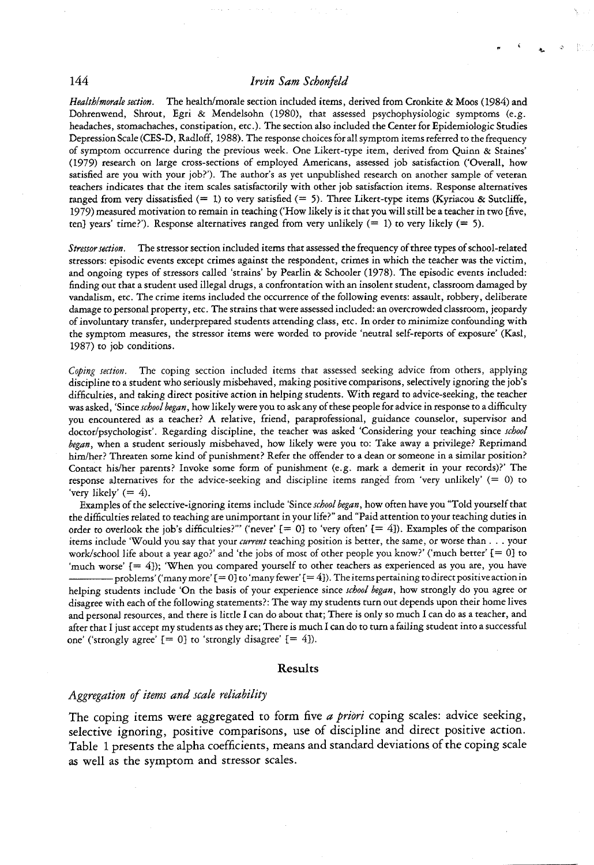*HealthImorale section.* The health/morale section included items, derived from Cronkite & Moos (1984) and Dohrenwend, Shrout, Egri & Mendelsohn (1980), that assessed psychophysiologic symptoms (e.g. headaches, stomachaches, constipation, etc.). The section also included the Center for Epidemiologic Studies Depression Scale (CES-D, Radloff, 1938). The response choices for all symptom items referred to the frequency of symptom occurrence during the previous week. One Likert-type item, derived from Quinn & Staines' (1979) research on large cross-sections of employed Americans, assessed job satisfaction ('Overall, how satisfied are you with your job?'). The author's as yet unpublished research on another sample of veteran teachers indicates that the item scales satisfactorily with other job satisfaction items. Response alternatives ranged from very dissatisfied  $(= 1)$  to very satisfied  $(= 5)$ . Three Likert-type items (Kyriacou & Sutcliffe, 1979) measured motivation to remain in teaching ('How likely is it that you will still be a teacher in two [five, ten] years' time?'). Response alternatives ranged from very unlikely  $(= 1)$  to very likely  $(= 5)$ .

*Stressor section.* The stressor section included items that assessed the frequency of three types of school-related stressors: episodic events except crimes against the respondent, crimes in which the teacher was the victim, and ongoing types of stressors called 'strains' by Pearlin & Schooler (1978). The episodic events included: finding out that a student used illegal drugs, a confrontation with an insolent student, classroom damaged by vandalism, etc. ITie crime items included the occurrence of the following events: assault, robbery, deliberate damage to personal property, etc. The strains that were assessed included: an overcrowded classroom, jeopardy of involuntary transfer, underprepared students attending class, etc. In order to minimize confounding with the symptom measures, the stressor items were worded to provide 'neutral self-reports of exposure' (Kasl, 1987) to job conditions.

*Coping section.* The coping section included items that assessed seeking advice from others, applying discipline to a student who seriously misbehaved, making positive comparisons, selectively ignoring the job's difficulties, and taking direct positive action in helping students. With regard to advice-seeking, the teacher was asked, 'Since *school began,* how likely were you to ask any of these people for advice in response to a difficulty you encountered as a teacher? A relative, friend, paraprofessional, guidance counselor, supervisor and doctor/psychologist'. Regarding discipline, the teacher was asked 'Considering your teaching since *school began,* when a student seriously misbehaved, how likely were you to: Take away a privilege? Reprimand him/her? Threaten some kind of punishment? Refer the offender to a dean or someone in a similar position? Contact his/her parents? Invoke some form of punishment (e.g. mark a demerit in your records)?' The response alternatives for the advice-seeking and discipline items ranged from 'very unlikely' (= 0) to 'very likely'  $(= 4)$ .

Examples of the selective-ignoring items include 'Since *school began,* how often have you "Told yourself that the difficulties related to teaching are unimportant in your life?" and "Paid attention to your teaching duties in order to overlook the job's difficulties?" ('never'  $[= 0]$  to 'very often'  $[= 4]$ ). Examples of the comparison items include 'Would you say that your *current* teaching position is better, the same, or worse than . . . your work/school life about a year ago?' and 'the jobs of most of other people you know?' ('much better' [= 0] to 'much worse' {= 4]); 'When you compared yourself to other teachers as experienced as you are, you have -problems' ('many more'  $[= 0]$  to 'many fewer'  $[= 4]$ ). The items pertaining to direct positive action in helping students include 'On the basis of your experience since *school began,* how strongly do you agree or disagree with each of the following statements?: The way my students turn out depends upon their home lives and personal resources, and there is little I can do about that; There is only so much I can do as a teacher, and after that I just accept my students as they are; There is much I can do to turn a failing student into a successful one' ('strongly agree'  $[= 0]$  to 'strongly disagree'  $[= 4]$ ).

#### **Results**

#### *Aggregation of items and scale reliability*

The coping items were aggregated to form five *a priori* coping scales: advice seeking, selective ignoring, positive comparisons, use of discipline and direct positive action. Table 1 presents the alpha coefficients, means and standard deviations of the coping scale as well as the symptom and stressor scales.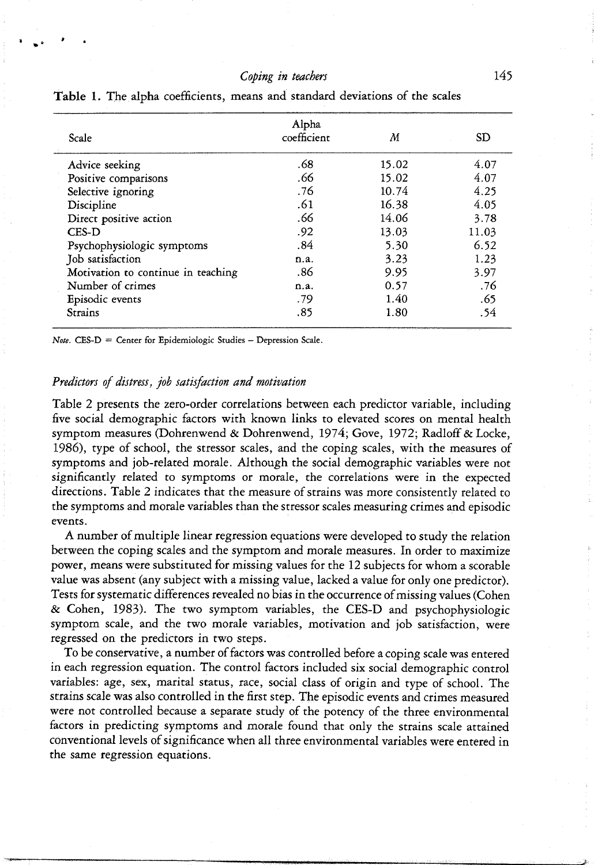# *Coping in teachers* 145

| Alpha<br>coefficient | M     | <b>SD</b> |
|----------------------|-------|-----------|
| .68                  | 15.02 | 4.07      |
| .66                  | 15.02 | 4.07      |
| .76                  | 10.74 | 4.25      |
| .61                  | 16.38 | 4.05      |
| .66                  | 14.06 | 3.78      |
| .92                  | 13.03 | 11.03     |
| .84                  | 5.30  | 6.52      |
| n.a.                 | 3.23  | 1.23      |
| .86                  | 9.95  | 3.97      |
| n.a.                 | 0.57  | .76       |
| .79                  | 1.40  | .65       |
| .85                  | 1.80  | .54       |
|                      |       |           |

**Table 1.** The alpha coefficients, means and standard deviations of the scales

*Note.* CES-D = Center for Epidemiologic Studies — Depression Scale,

#### *Predictors of distress, job satisfaction and motivation*

Table 2 presents the zero-order correlations between each predictor variable, including five social demographic factors with known links to elevated scores on mental health symptom measures (Dohrenwend & Dohrenwend, 1974; Gove, 1972; Radloff & Locke, 1986), type of school, the stressor scales, and the coping scales, with the measures of symptoms and job-related morale. Although the social demographic variables were not significantly related to symptoms or morale, the correlations were in the expected directions. Table 2 indicates that the measure of strains was more consistently related to the symptoms and morale variables than the stressor scales measuring crimes and episodic events.

A number of multiple linear regression equations were developed to study the relation between the coping scales and the symptom and morale measures. In order to maximize power, means were substituted for missing values for the 12 subjects for whom a scorable value was absent (any subject with a missing value, lacked a value for only one predictor). Tests for systematic differences revealed no bias in the occurrence of missing values (Cohen & Cohen, 1983). The two symptom variables, the CES-D and psychophysiologic symptom scale, and the two morale variables, motivation and job satisfaction, were regressed on the predictors in two steps.

To be conservative, a number of factors was controlled before a coping scale was entered in each regression equation. The control factors included six social demographic control variables: age, sex, marital status, race, social class of origin and type of school. The strains scale was also controlled in the first step. The episodic events and crimes measured were not controlled because a separate study of the potency of the three environmental factors in predicting symptoms and morale found that only the strains scale attained conventional levels of significance when all three environmental variables were entered in the same regression equations.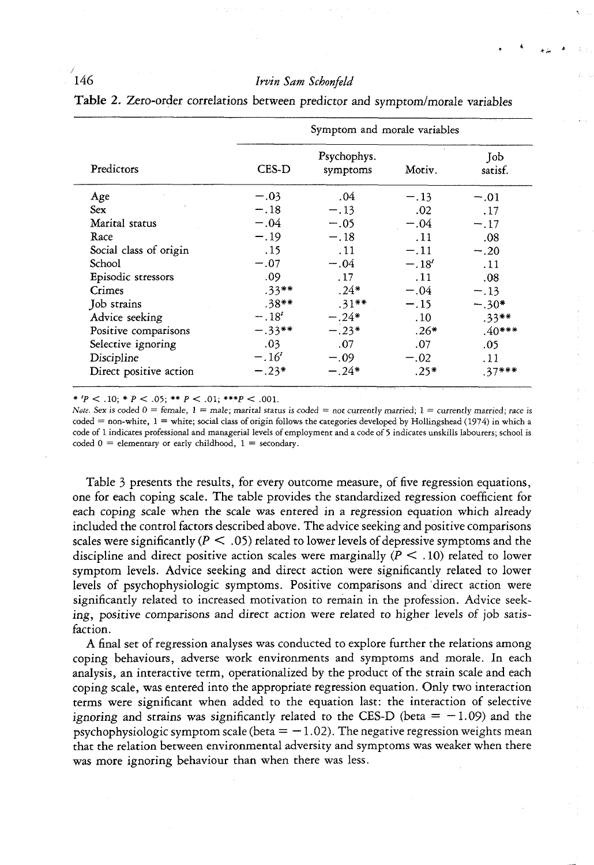| Predictors             | Symptom and morale variables |                         |         |                |
|------------------------|------------------------------|-------------------------|---------|----------------|
|                        | CES-D                        | Psychophys.<br>symptoms | Motiv.  | Job<br>satisf. |
| Age                    | $-.03$                       | .04                     | $-.13$  | $-.01$         |
| <b>Sex</b>             | $-.18$                       | $-.13$                  | .02     | .17            |
| Marital status         | $-.04$                       | $-.05$                  | $-.04$  | $-.17$         |
| Race                   | $-.19$                       | $-.18$                  | .11     | .08            |
| Social class of origin | .15                          | .11                     | $-.11$  | $-.20$         |
| School                 | $-.07$                       | $-.04$                  | $-.18'$ | . 11           |
| Episodic stressors     | .09                          | . 17                    | .11     | .08            |
| Crimes                 | $.33**$                      | $.24*$                  | $-.04$  | $-.13$         |
| Job strains            | $.38**$                      | $.31**$                 | $-.15$  | $-.30*$        |
| Advice seeking         | $-.18^{t}$                   | $-.24*$                 | .10     | $.33***$       |
| Positive comparisons   | $-.33**$                     | $-.23*$                 | $.26*$  | $.40***$       |
| Selective ignoring     | .03                          | .07                     | .07     | .05            |
| Discipline             | $-.16^{t}$                   | $-.09$                  | $-.02$  | . 11           |
| Direct positive action | $-.23*$                      | $-.24*$                 | $.25*$  | $.37***$       |

**Table 2.** Zero-order correlations between predictor and symptom/morale variables

\* 'P < ,10; \* P < ,05; \*\* P < ,01; *\*\*\*P <* ,001,

*Note.* Sex is coded  $0 =$  female,  $1 =$  male; marital status is coded = not currently married;  $1 =$  currently married; race is  $\text{code} = \text{non-white}, 1 = \text{white}$ ; social class of origin follows the categories developed by Hollingshead (1974) in which a code of 1 indicates professional and managerial levels of employment and a code of 5 indicates unskills labourers; school is coded  $0 =$  elementary or early childhood,  $1 =$  secondary.

Table 3 presents the results, for every outcome measure, of five regression equations, one for each coping scale. The table provides the standardized regression coefficient for each coping scale when the scale was entered in a regression equation which already included the control factors described above. The advice seeking and positive comparisons scales were significantly ( $P < .05$ ) related to lower levels of depressive symptoms and the discipline and direct positive action scales were marginally ( $P < .10$ ) related to lower symptom levels. Advice seeking and direct action were significantly related to lower levels of psychophysiologic symptoms. Positive comparisons and direct action were significantly related to increased motivation to remain in the profession. Advice seeking, positive comparisons and direct action were related to higher levels of job satisfaction.

A final set of regression analyses was conducted to explore further the relations among coping behaviours, adverse work environments and symptoms and morale. In each analysis, an interactive term, operationalized by the product of the strain scale and each coping scale, was entered into the appropriate regression equation. Only two interaction terms were significant when added to the equation last: the interaction of selective ignoring and strains was significantly related to the CES-D (beta  $= -1.09$ ) and the psychophysiologic symptom scale (beta  $= -1.02$ ). The negative regression weights mean that the relation between environmental adversity and symptoms was weaker when there was more ignoring behaviour than when there was less.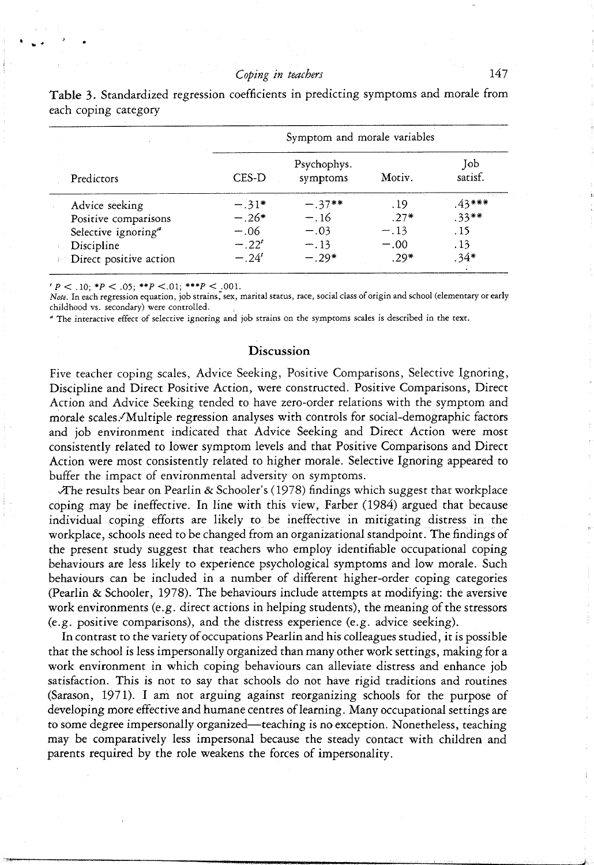| Predictors                          | Symptom and morale variables |                         |        |                |
|-------------------------------------|------------------------------|-------------------------|--------|----------------|
|                                     | CES-D                        | Psychophys.<br>symptoms | Motiv. | Job<br>satisf. |
| Advice seeking                      | $-.31*$                      | $-.37**$                | . 19   | $43***$        |
| Positive comparisons                | $-.26*$                      | $-.16$                  | $.27*$ | $.33**$        |
| Selective ignoring <sup>a</sup>     | $-.06$                       | $-.03$                  | $-.13$ | . 15           |
| <b>Discipline</b>                   | $-.22'$                      | $-.13$                  | $-.00$ | . 13           |
| <sup>1</sup> Direct positive action | $-.24'$                      | $-.29*$                 | $.29*$ | .34*           |

Table 3. Standardized regression coefficients in predicting symptoms and morale from each coping category

 $' P < .10; *P < .05; **P < .01; **P < .001.$ 

*Note.* In each regression equation, job strains, sex, marital status, race, social class of origin and school (elementary or early childhood vs. secondary) were controlled.

" The interactive effect of selective ignoring and job strains on the symptoms scales is described in the *ttxt.*

### **Discussion**

Five teacher coping scales, Advice Seeking, Positive Comparisons, Selective Ignoring, Discipline and Direct Positive Action, were constructed. Positive Comparisons, Direct Action and Advice Seeking tended to have zero-order relations with the symptom and morale scales. 'Multiple regression analyses with controls for social-demographic factors and job environment indicated that Advice Seeking and Direct Action were most consistently related to lower symptom levels and that Positive Comparisons and Direct Action were most consistently related to higher morale. Selective Ignoring appeared to buffer the impact of environmental adversity on symptoms.

The results bear on Pearlin & Schooler's (1978) findings which suggest that workplace coping may be ineffective. In line with this view, Farber (1984) argued that because individual coping efforts are likely to be ineffective in mitigating distress in the workplace, schools need to be changed from an organizational standpoint. The findings of the present study suggest that teachers who employ identifiable occupational coping behaviours are less likely to experience psychological symptoms and low morale. Such behaviours can be included in a number of different higher-order coping categories (Pearlin & Schooler, 1978). The behaviours include attempts at modifying: the aversive work environments (e.g. direct actions in helping students), the meaning of the stressors (e.g. positive comparisons), and the distress experience (e.g. advice seeking).

In contrast to the variety of occupations Pearlin and his colleagues studied, it is possible that the school is less impersonally organized than many other work settings, making for a work environment in which coping behaviours can alleviate distress and enhance job satisfaction. This is not to say that schools do not have rigid traditions and routines (Sarason, 1971). I am not arguing against reorganizing schools for the purpose of developing more effective and humane centres of learning. Many occupational settings are to some degree impersonally organized—teaching is no exception. Nonetheless, teaching may be comparatively less impersonal because the steady contact with children and parents required by the role weakens the forces of impersonality.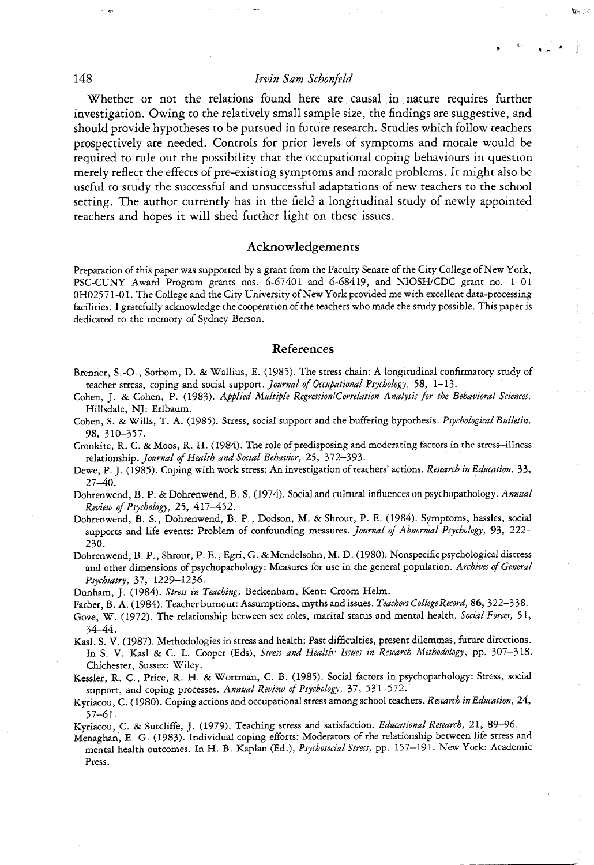Whether or not the relations found here are causal in nature requires further investigation. Owing to the relatively small sample size, the findings are suggestive, and should provide hypotheses to be pursued in future research. Studies which follow teachers prospectively are needed. Controls for prior levels of symptoms and morale would be required to rule out the possibility that the occupational coping behaviours in question merely refiect the effects of pre-existing symptoms and morale problems. It might also be useful to study the successful and unsuccessful adaptations of new teachers to the school setting. The author currently has in the field a longitudinal study of newly appointed teachers and hopes it will shed further light on these issues.

### Acknowledgements

Preparation of this paper was supported by a grant from the Faculty Senate of the City College of New York, PSC-CUNY Award Program grants nos, 6-67401 and 6-68419, and NIOSH/CDC grant no, 1 01 0HO2571-01, The College and the City University of New York provided me with excellent data-processing facilities, I gratefully acknowledge the cooperation of the teachers who made the study possible. This paper is dedicated to the memory of Sydney Berson,

#### References

- Brenner, S,-O,, Sorbom, D. & Wallius, E, (1985), The stress chain: A longitudinal confirmatory study of teacher stress, coping and social *snppott. Journal of Occupational Psychology,* 58, 1-13,
- Cohen, J, & Cohen, P, (1983), *Applied Multiple RegressionlCorrelation Analysis for the Behavioral Sciences.* Hillsdale, NJ: Erlbaum,
- Cohen, S, & Wills, T, A, (1985), Stress, social support and the buffering hypothesis, *Psychological Bulletin,* 98, 310-357,
- Cronkite, R, C, & Moos, R, H, (1984), The role of predisposing and moderating factors in the stress-illness relationship. Journal of Health and Social Behavior, 25, 372-393.
- Dewe, P, J, (1985), Coping with work stress: An investigation of teachers' actions. *Research in Education,* 33, 27-40,
- Dohrenwend, B, P, & Dohrenwend, B, S, (1974), Social and cultural influences on psychopathology. *Annual Review of Psychology,* 25, 417-452,
- Dohrenwend, B, S,, Dohrenwend, B. P,, Dodson, M, & Shrout, P, E, (1984), Symptoms, hassles, social supports and life events: Problem of confounding measures. Journal of Abnormal Psychology, 93, 222-230,
- Dohrenwend, B, P,, Shrout, P, E,, Egri,G, & Mendelsohn, M, D, (1980), Nonspecific psychological distress and other dimensions of psychopathology: Measures for use in the general population. *Archives of General Psychiatry,* 37, 1229-1236,

Dunham, J. (1984), *Stress in Teaching.* Beckenham, Kent: Croom Helm,

- Farber, B. A. (1984). Teacher burnout: Assumptions, myths and issues. Teachers College Record, 86, 322-338.
- Gove, W, (1972), The relationship between sex roles, marital status and mental health. *Social Forces,* 51, 34-44,
- Kasl, S, V, (1987), Methodologies in stress and health: Past difficulties, present dilemmas, future directions. In S, V, Kasl & C, L, Cooper (Eds), *Stress and Health: Issues in Research Methodology,* pp, 307-318, Chichester, Sussex: Wiley,
- Kessler, R. C., Price, R. H. & Wortman, C. B. (1985). Social factors in psychopathology: Stress, social support, and coping processes. *Annual Review of Psychology,* 37, 531-572,
- Kyriacou, C, (1980), Coping actions and occupational stress among school teachers. *Research in Education, 24,* 57-61,

Kyriacou, C, & Sutcliffe, J, (1979), Teaching stress and satisfaction. *Educational Research,* 21, 89—96,

Menaghan, E, G, (1983), Individual coping efforts: Moderators of the relationship between life stress and mental health outcomes. In H, B, Kaplan (Ed.), *Psychosocial Stress,* pp, 157-191, New York: Academic Press,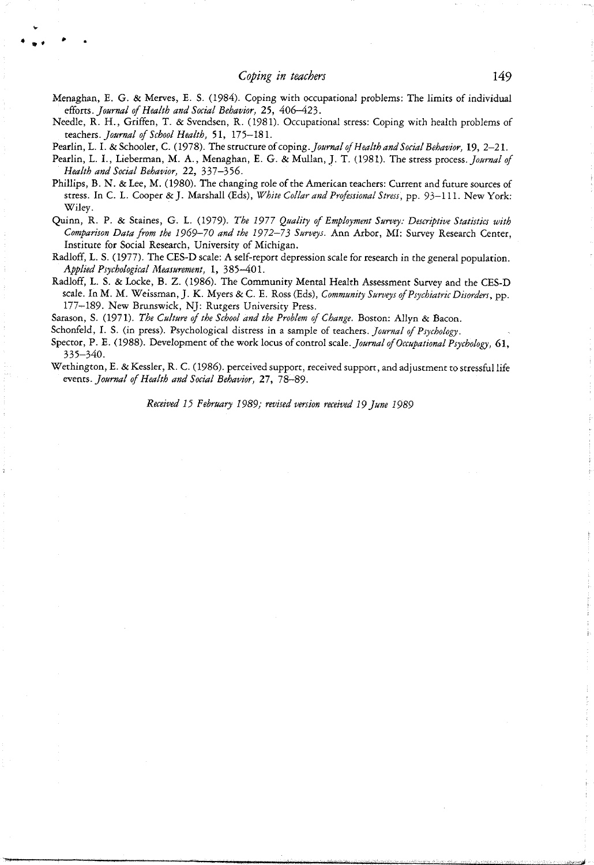Menaghan, E. G. & Merves, E. S. (1984). Coping with occupational problems: The limits of individual *eiions. Journal of Health and Social Behavior,* 25, 406-423.

- Needle, R. H., Griffen, T. & Svendsen, R. (1981). Occupational stress: Coping with health problems of teachers. *Journal of School Health,* 51, 175—181.
- Pearlin, L. I. & Schooler, C. (1978). *The structure oi coping. Journal of Health and Social Behavior,* 19, 2-21.
- Pearlin, L. I., Lieberman, M. A., Menaghan, E. G. <& Mullan, J. T. (1981). The stress *process. Journal of Health and Social Behavior,* 22, 337-356.
- Phillips, B. N. & Lee, M. (1980). The changing role of the American teachers: Current and future sources of stress. In C. L. Cooper &J. Marshall (Eds), *White Collar and Professional Stress,* pp. 93-111. NewYork: Wiley.
- Quinn, R. P. & Staines, G. L. (1979). *The 1977 Quality of Employment Survey: Descriptive Statistics with Comparison Data from the 1969-70 and the 1972-73 Surveys.* Ann Arbor, MI: Survey Research Center, Institute for Social Research, University of Michigan.
- Radlofif, L. S. (1977). The CES-D scale: A self-report depression scale for research in the general population. *Applied Psychological Measurement,* 1, 385—401.
- Radloff, L. S. & Locke, B. Z. (1986). The Community Mental Health Assessment Survey and the CES-D scale. In M. M. Weissman, J. K. Myers & C. E. Ross (Eds), *Community Surveys of Psychiatric Disorders,* pp. 177—189. New Brunswick, NJ: Rutgers University Press.
- Sarason, S. (1971). *The Culture of the School and the Problem of Change.* Boston: Allyn & Bacon.

Schonfeld, I. S. (in press). Psychological distress in a sample of teachers. Journal of Psychology.

- Spector, P. E. (1988). Development of the work locus of control scale. *Journal of Occupational Psychology*, 61, 335-340.
- Wethington, E. & Kessler, R. C. (1986). perceived support, received support, and adjustment to stressful life *eseats. Journal of Health and Social Behavior, 11,* 78-89.

*Received 15 February 1989; revised version received 19 June 1989*